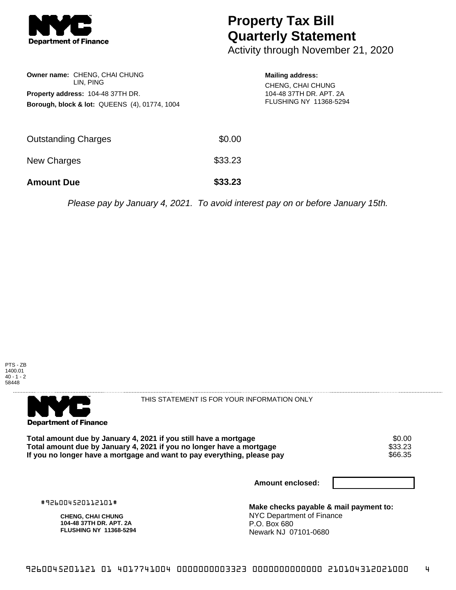

## **Property Tax Bill Quarterly Statement**

Activity through November 21, 2020

| Owner name: CHENG, CHAI CHUNG<br>LIN. PING<br><b>Property address: 104-48 37TH DR.</b><br><b>Borough, block &amp; lot: QUEENS (4), 01774, 1004</b> |         | <b>Mailing address:</b><br>CHENG, CHAI CHUNG<br>104-48 37TH DR. APT. 2A<br>FLUSHING NY 11368-5294 |
|----------------------------------------------------------------------------------------------------------------------------------------------------|---------|---------------------------------------------------------------------------------------------------|
| Outstanding Charges                                                                                                                                | \$0.00  |                                                                                                   |
| <b>New Charges</b>                                                                                                                                 | \$33.23 |                                                                                                   |
| <b>Amount Due</b>                                                                                                                                  | \$33.23 |                                                                                                   |

Please pay by January 4, 2021. To avoid interest pay on or before January 15th.





THIS STATEMENT IS FOR YOUR INFORMATION ONLY

**Total amount due by January 4, 2021 if you still have a mortgage**  $$0.00$ **<br>Total amount due by January 4, 2021 if you no longer have a mortgage**  $$33.23$ **Total amount due by January 4, 2021 if you no longer have a mortgage** \$33.23 If you no longer have a mortgage and want to pay everything, please pay

**Amount enclosed:**

#926004520112101#

**CHENG, CHAI CHUNG 104-48 37TH DR. APT. 2A FLUSHING NY 11368-5294** **Make checks payable & mail payment to:** NYC Department of Finance P.O. Box 680 Newark NJ 07101-0680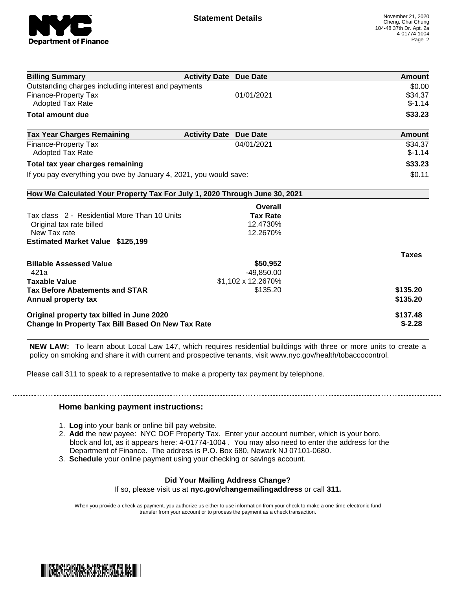

| <b>Billing Summary</b>                                                     | <b>Activity Date Due Date</b> |                    | Amount       |
|----------------------------------------------------------------------------|-------------------------------|--------------------|--------------|
| Outstanding charges including interest and payments                        |                               |                    | \$0.00       |
| <b>Finance-Property Tax</b>                                                |                               | 01/01/2021         | \$34.37      |
| <b>Adopted Tax Rate</b>                                                    |                               |                    | $$-1.14$     |
| <b>Total amount due</b>                                                    |                               |                    | \$33.23      |
| <b>Tax Year Charges Remaining</b>                                          | <b>Activity Date</b>          | <b>Due Date</b>    | Amount       |
| <b>Finance-Property Tax</b>                                                |                               | 04/01/2021         | \$34.37      |
| <b>Adopted Tax Rate</b>                                                    |                               |                    | $$-1.14$     |
| Total tax year charges remaining                                           |                               |                    | \$33.23      |
| If you pay everything you owe by January 4, 2021, you would save:          |                               |                    | \$0.11       |
| How We Calculated Your Property Tax For July 1, 2020 Through June 30, 2021 |                               |                    |              |
|                                                                            |                               | Overall            |              |
| Tax class 2 - Residential More Than 10 Units                               |                               | <b>Tax Rate</b>    |              |
| Original tax rate billed                                                   |                               | 12.4730%           |              |
| New Tax rate                                                               |                               | 12.2670%           |              |
| <b>Estimated Market Value \$125,199</b>                                    |                               |                    |              |
|                                                                            |                               |                    | <b>Taxes</b> |
| <b>Billable Assessed Value</b>                                             |                               | \$50,952           |              |
| 421a                                                                       |                               | $-49,850.00$       |              |
| <b>Taxable Value</b>                                                       |                               | \$1,102 x 12.2670% |              |
| <b>Tax Before Abatements and STAR</b>                                      |                               | \$135.20           | \$135.20     |
| Annual property tax                                                        |                               |                    | \$135.20     |
| Original property tax billed in June 2020                                  |                               |                    | \$137.48     |
| <b>Change In Property Tax Bill Based On New Tax Rate</b>                   |                               |                    | $$-2.28$     |

**NEW LAW:** To learn about Local Law 147, which requires residential buildings with three or more units to create a policy on smoking and share it with current and prospective tenants, visit www.nyc.gov/health/tobaccocontrol.

Please call 311 to speak to a representative to make a property tax payment by telephone.

## **Home banking payment instructions:**

- 1. **Log** into your bank or online bill pay website.
- 2. **Add** the new payee: NYC DOF Property Tax. Enter your account number, which is your boro, block and lot, as it appears here: 4-01774-1004 . You may also need to enter the address for the Department of Finance. The address is P.O. Box 680, Newark NJ 07101-0680.
- 3. **Schedule** your online payment using your checking or savings account.

## **Did Your Mailing Address Change?**

If so, please visit us at **nyc.gov/changemailingaddress** or call **311.**

When you provide a check as payment, you authorize us either to use information from your check to make a one-time electronic fund transfer from your account or to process the payment as a check transaction.